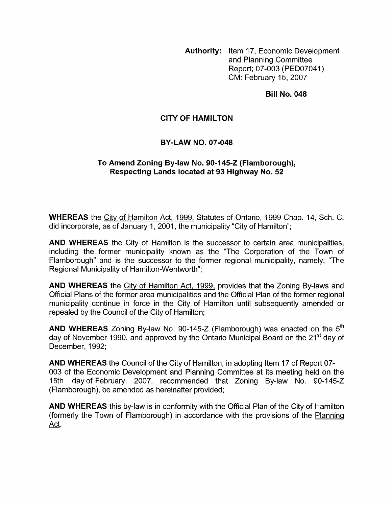**Authority:** Item 17, Economic Development and Planning Committee Report; 07-003 (PED07041) CM: February 15,2007

## **Bill No. 048**

## **CITY OF HAMILTON**

## **BY-LAW NO. 07-048**

## **To Amend Zoning By-law No. 90-145-2 (Flamborough), Respecting Lands located at 93 Highway No. 52**

**WHEREAS** the City of Hamilton Act, 1999, Statutes of Ontario, 1999 Chap. 14, Sch. C. did incorporate, as of January 1, 2001, the municipality "City of Hamilton";

**AND WHEREAS** the City of Hamilton is the successor to certain area municipalities, including the former municipality known as the "The Corporation of the Town of Flamborough" and is the successor to the former regional municipality, namely, "The Regional Municipality of Hamilton-Wentworth";

**AND WHEREAS** the City of Hamilton Act, 1999, provides that the Zoning By-laws and Official Plans of the former area municipalities and the Official Plan of the former regional municipality continue in force in the City of Hamilton until subsequently amended or repealed by the Council of the City of Hamilton;

**AND WHEREAS** Zoning By-law No. 90-145-Z (Flamborough) was enacted on the 5<sup>th</sup> day of November 1990, and approved by the Ontario Municipal Board on the 21<sup>st</sup> day of December, 1992;

**AND WHEREAS** the Council of the City of Hamilton, in adopting Item 17 of Report 07- 003 of the Economic Development and Planning Committee at its meeting held on the 15th day of February, 2007, recommended that Zoning By-law No. 90-145-Z (Flamborough), be amended as hereinafter provided;

**AND WHEREAS** this by-law is in conformity with the Official Plan of the City of Hamilton (formerly the Town of Flamborough) in accordance with the provisions of the Planninq Act.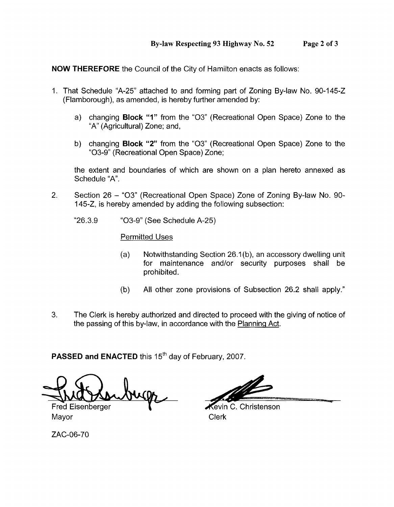**NOW THEREFORE** the Council of the City of Hamilton enacts as follows:

- 1. That Schedule "A-25" attached to and forming part of Zoning By-law No. 90-145-2 (Flamborough), as amended, is hereby further amended by:
	- a) changing **Block "1"** from the "03" (Recreational Open Space) Zone to the "A" (Agricultural) Zone; and,
	- b) changing **Block "2"** from the "03" (Recreational Open Space) Zone to the "03-9" (Recreational Open Space) Zone;

the extent and boundaries of which are shown on a plan hereto annexed as Schedule "A".

- 2. Section 26 "03" (Recreational Open Space) Zone of Zoning By-law No. 90- 145-2, is hereby amended by adding the following subsection:
	- "26.3.9 "03-9" (See Schedule A-25)

Permitted Uses

- (a) Notwithstanding Section 26.1 (b), an accessory dwelling unit for maintenance and/or security purposes shall be prohibited.
- (b) All other zone provisions of Subsection 26.2 shall apply."
- 3. The Clerk is hereby authorized and directed to proceed with the giving of notice of the passing of this by-law, in accordance with the Plannina Act.

**PASSED and ENACTED** this 15<sup>th</sup> day of February, 2007.

Fred Eisenberger Mayor **Clerk** 

**Revin C. Christenson** 

ZAC-06-70